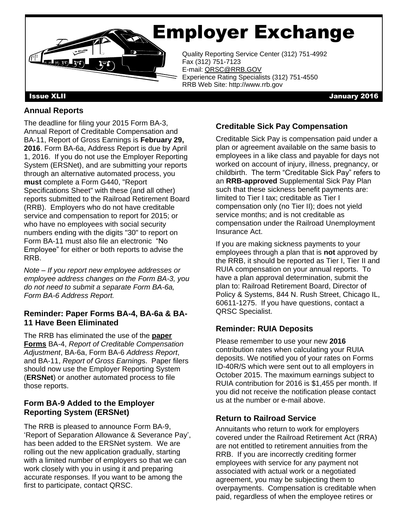# Employer Exchange



Quality Reporting Service Center (312) 751-4992<br>Fax (312) 751-7123 Fax (312) 751-7123 E-mail: QRSC@RRB.GOV Experience Rating Specialists (312) 751-4550 RRB Web Site: http://www.rrb.gov

Issue XLII January 2016

### **Annual Reports**

 **2016**. Form BA-6a, Address Report is due by April 1, 2016. If you do not use the Employer Reporting (RRB). Employers who do not have creditable Form BA-11 must also file an electronic "No The deadline for filing your 2015 Form BA-3, Annual Report of Creditable Compensation and BA-11, Report of Gross Earnings is **February 29,**  System (ERSNet), and are submitting your reports through an alternative automated process, you **must** complete a Form G440, "Report Specifications Sheet" with these (and all other) reports submitted to the Railroad Retirement Board service and compensation to report for 2015; or who have no employees with social security numbers ending with the digits "30" to report on Employee" for either or both reports to advise the RRB.

 *employee address changes on the Form BA-3, you Note – If you report new employee addresses or do not need to submit a separate Form BA-6a, Form BA-6 Address Report.* 

#### **Reminder: Paper Forms BA-4, BA-6a & BA-11 Have Been Eliminated**

 The RRB has eliminated the use of the **paper**  and BA-11, *Report of Gross Earning*s. Paper filers (**ERSNet**) or another automated process to file **Forms** BA-4, *Report of Creditable Compensation Adjustment*, BA-6a, Form BA-6 *Address Report*, should now use the Employer Reporting System those reports.

#### **Form BA-9 Added to the Employer Reporting System (ERSNet)**

The RRB is pleased to announce Form BA-9, 'Report of Separation Allowance & Severance Pay', has been added to the ERSNet system. We are rolling out the new application gradually, starting with a limited number of employers so that we can work closely with you in using it and preparing accurate responses. If you want to be among the first to participate, contact QRSC.

#### **Creditable Sick Pay Compensation**

 childbirth. The term "Creditable Sick Pay" refers to limited to Tier I tax; creditable as Tier I service months; and is not creditable as Creditable Sick Pay is compensation paid under a plan or agreement available on the same basis to employees in a like class and payable for days not worked on account of injury, illness, pregnancy, or an **RRB-approved** Supplemental Sick Pay Plan such that these sickness benefit payments are: compensation only (no Tier II); does not yield compensation under the Railroad Unemployment Insurance Act.

 Policy & Systems, 844 N. Rush Street, Chicago IL, If you are making sickness payments to your employees through a plan that is **not** approved by the RRB, it should be reported as Tier I, Tier II and RUIA compensation on your annual reports. To have a plan approval determination, submit the plan to: Railroad Retirement Board, Director of 60611-1275. If you have questions, contact a QRSC Specialist.

### **Reminder: RUIA Deposits**

 RUIA contribution for 2016 is \$1,455 per month. If Please remember to use your new **2016**  contribution rates when calculating your RUIA deposits. We notified you of your rates on Forms ID-40R/S which were sent out to all employers in October 2015. The maximum earnings subject to you did not receive the notification please contact us at the number or e-mail above.

#### **Return to Railroad Service**

 covered under the Railroad Retirement Act (RRA) Annuitants who return to work for employers are not entitled to retirement annuities from the RRB. If you are incorrectly crediting former employees with service for any payment not associated with actual work or a negotiated agreement, you may be subjecting them to overpayments. Compensation is creditable when paid, regardless of when the employee retires or